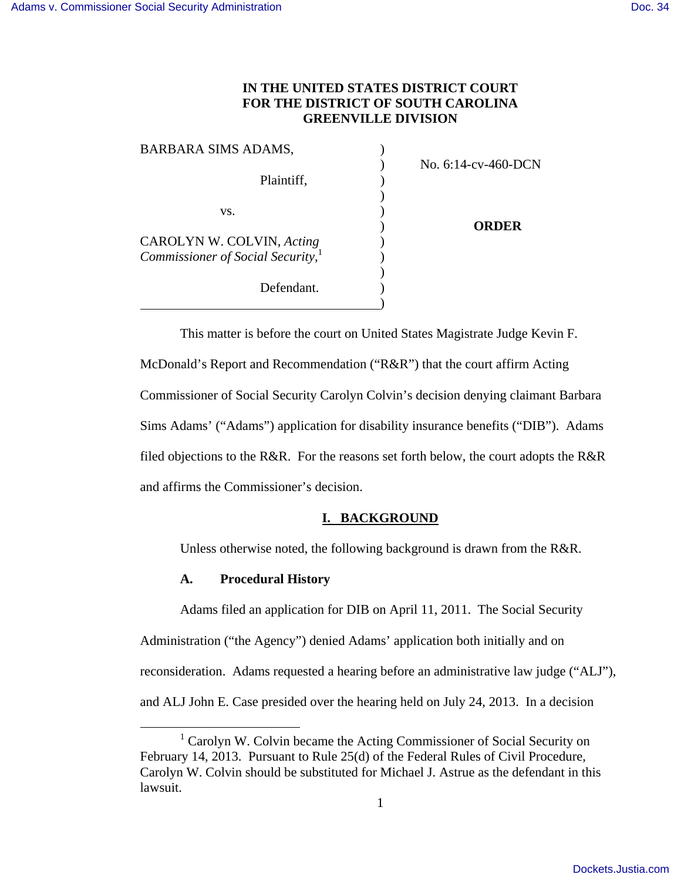## **IN THE UNITED STATES DISTRICT COURT FOR THE DISTRICT OF SOUTH CAROLINA GREENVILLE DIVISION**

| BARBARA SIMS ADAMS,                           |                        |
|-----------------------------------------------|------------------------|
|                                               | No. $6:14$ -cv-460-DCN |
| Plaintiff,                                    |                        |
|                                               |                        |
| VS.                                           |                        |
|                                               | ORDER                  |
| CAROLYN W. COLVIN, Acting                     |                        |
| Commissioner of Social Security, <sup>1</sup> |                        |
|                                               |                        |
| Defendant.                                    |                        |
|                                               |                        |

This matter is before the court on United States Magistrate Judge Kevin F. McDonald's Report and Recommendation ("R&R") that the court affirm Acting Commissioner of Social Security Carolyn Colvin's decision denying claimant Barbara Sims Adams' ("Adams") application for disability insurance benefits ("DIB"). Adams filed objections to the R&R. For the reasons set forth below, the court adopts the R&R and affirms the Commissioner's decision.

## **I. BACKGROUND**

Unless otherwise noted, the following background is drawn from the R&R.

#### **A. Procedural History**

Adams filed an application for DIB on April 11, 2011. The Social Security Administration ("the Agency") denied Adams' application both initially and on reconsideration. Adams requested a hearing before an administrative law judge ("ALJ"), and ALJ John E. Case presided over the hearing held on July 24, 2013. In a decision

 <sup>1</sup> Carolyn W. Colvin became the Acting Commissioner of Social Security on February 14, 2013. Pursuant to Rule 25(d) of the Federal Rules of Civil Procedure, Carolyn W. Colvin should be substituted for Michael J. Astrue as the defendant in this lawsuit.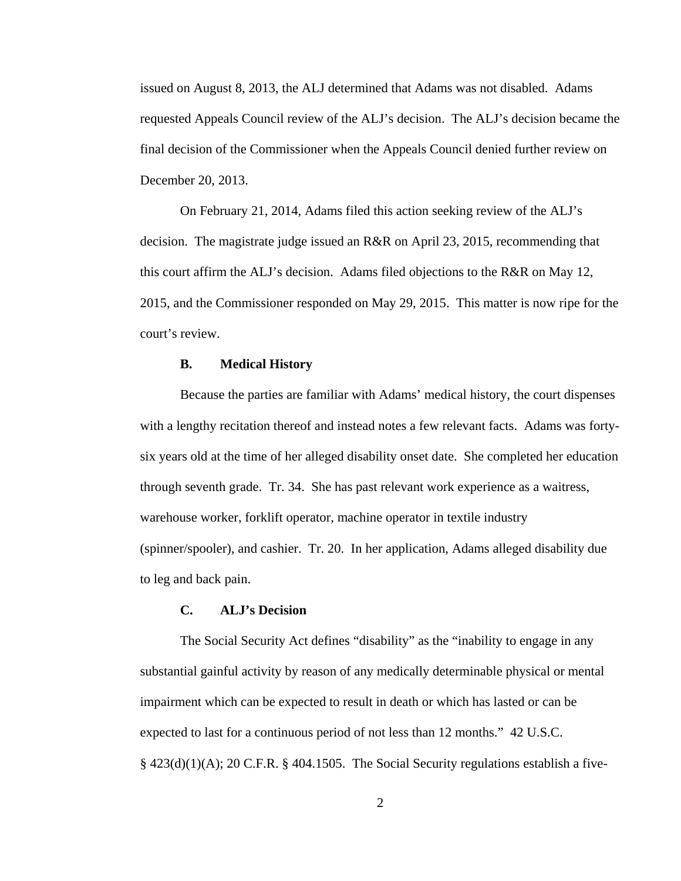issued on August 8, 2013, the ALJ determined that Adams was not disabled. Adams requested Appeals Council review of the ALJ's decision. The ALJ's decision became the final decision of the Commissioner when the Appeals Council denied further review on December 20, 2013.

On February 21, 2014, Adams filed this action seeking review of the ALJ's decision. The magistrate judge issued an R&R on April 23, 2015, recommending that this court affirm the ALJ's decision. Adams filed objections to the R&R on May 12, 2015, and the Commissioner responded on May 29, 2015. This matter is now ripe for the court's review.

## **B. Medical History**

Because the parties are familiar with Adams' medical history, the court dispenses with a lengthy recitation thereof and instead notes a few relevant facts. Adams was fortysix years old at the time of her alleged disability onset date. She completed her education through seventh grade. Tr. 34. She has past relevant work experience as a waitress, warehouse worker, forklift operator, machine operator in textile industry (spinner/spooler), and cashier. Tr. 20. In her application, Adams alleged disability due to leg and back pain.

## **C. ALJ's Decision**

The Social Security Act defines "disability" as the "inability to engage in any substantial gainful activity by reason of any medically determinable physical or mental impairment which can be expected to result in death or which has lasted or can be expected to last for a continuous period of not less than 12 months." 42 U.S.C.  $\S$  423(d)(1)(A); 20 C.F.R.  $\S$  404.1505. The Social Security regulations establish a five-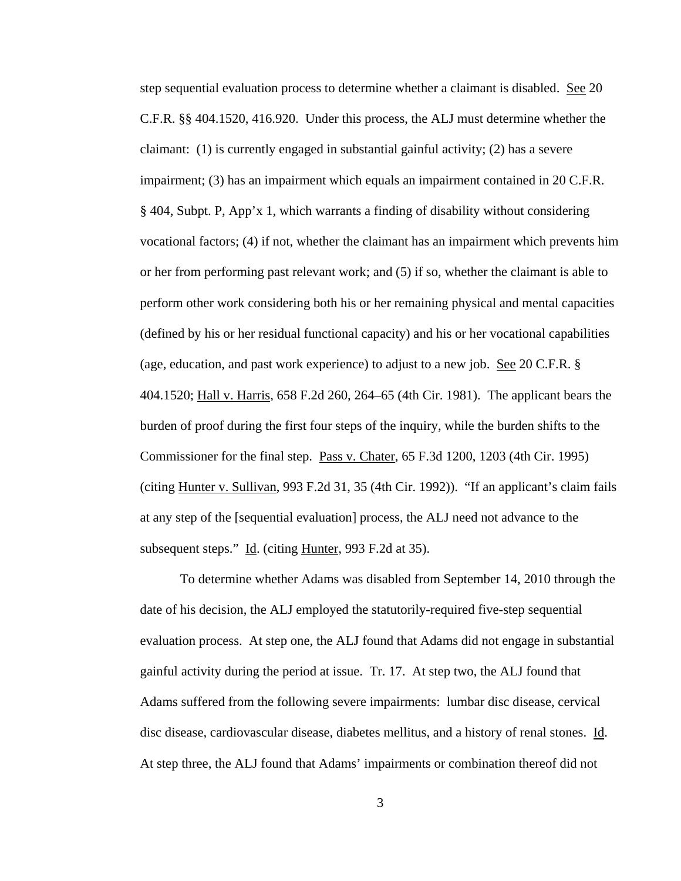step sequential evaluation process to determine whether a claimant is disabled. See 20 C.F.R. §§ 404.1520, 416.920. Under this process, the ALJ must determine whether the claimant:  $(1)$  is currently engaged in substantial gainful activity;  $(2)$  has a severe impairment; (3) has an impairment which equals an impairment contained in 20 C.F.R. § 404, Subpt. P, App'x 1, which warrants a finding of disability without considering vocational factors; (4) if not, whether the claimant has an impairment which prevents him or her from performing past relevant work; and (5) if so, whether the claimant is able to perform other work considering both his or her remaining physical and mental capacities (defined by his or her residual functional capacity) and his or her vocational capabilities (age, education, and past work experience) to adjust to a new job. See 20 C.F.R. § 404.1520; Hall v. Harris, 658 F.2d 260, 264–65 (4th Cir. 1981). The applicant bears the burden of proof during the first four steps of the inquiry, while the burden shifts to the Commissioner for the final step. Pass v. Chater, 65 F.3d 1200, 1203 (4th Cir. 1995) (citing Hunter v. Sullivan, 993 F.2d 31, 35 (4th Cir. 1992)). "If an applicant's claim fails at any step of the [sequential evaluation] process, the ALJ need not advance to the subsequent steps." Id. (citing Hunter, 993 F.2d at 35).

To determine whether Adams was disabled from September 14, 2010 through the date of his decision, the ALJ employed the statutorily-required five-step sequential evaluation process. At step one, the ALJ found that Adams did not engage in substantial gainful activity during the period at issue. Tr. 17. At step two, the ALJ found that Adams suffered from the following severe impairments: lumbar disc disease, cervical disc disease, cardiovascular disease, diabetes mellitus, and a history of renal stones. Id. At step three, the ALJ found that Adams' impairments or combination thereof did not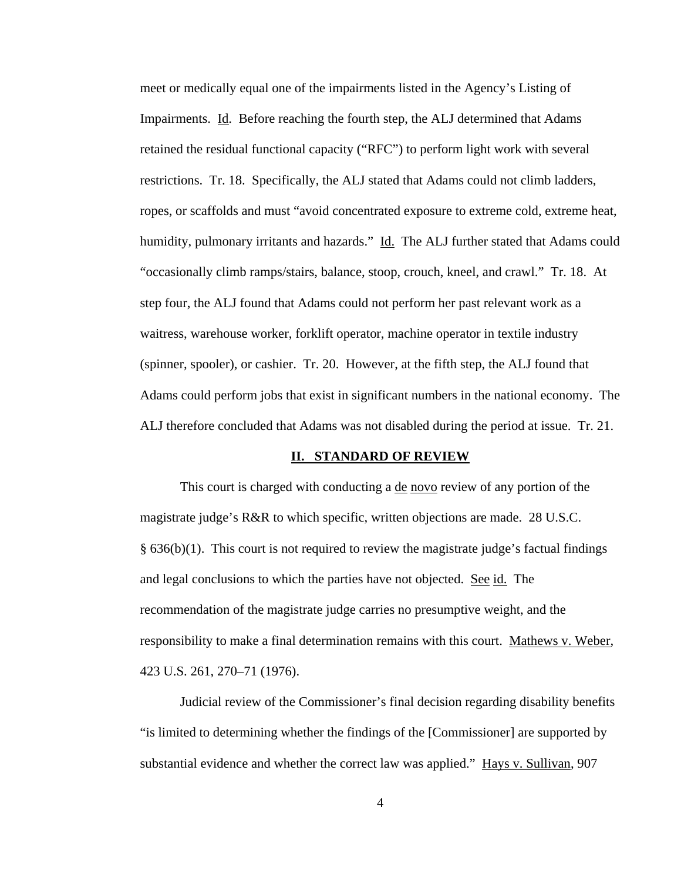meet or medically equal one of the impairments listed in the Agency's Listing of Impairments. Id. Before reaching the fourth step, the ALJ determined that Adams retained the residual functional capacity ("RFC") to perform light work with several restrictions. Tr. 18. Specifically, the ALJ stated that Adams could not climb ladders, ropes, or scaffolds and must "avoid concentrated exposure to extreme cold, extreme heat, humidity, pulmonary irritants and hazards." Id. The ALJ further stated that Adams could "occasionally climb ramps/stairs, balance, stoop, crouch, kneel, and crawl." Tr. 18. At step four, the ALJ found that Adams could not perform her past relevant work as a waitress, warehouse worker, forklift operator, machine operator in textile industry (spinner, spooler), or cashier. Tr. 20. However, at the fifth step, the ALJ found that Adams could perform jobs that exist in significant numbers in the national economy. The ALJ therefore concluded that Adams was not disabled during the period at issue. Tr. 21.

#### **II. STANDARD OF REVIEW**

This court is charged with conducting a <u>de novo</u> review of any portion of the magistrate judge's R&R to which specific, written objections are made. 28 U.S.C.  $§$  636(b)(1). This court is not required to review the magistrate judge's factual findings and legal conclusions to which the parties have not objected. See id. The recommendation of the magistrate judge carries no presumptive weight, and the responsibility to make a final determination remains with this court. Mathews v. Weber, 423 U.S. 261, 270–71 (1976).

 Judicial review of the Commissioner's final decision regarding disability benefits "is limited to determining whether the findings of the [Commissioner] are supported by substantial evidence and whether the correct law was applied." Hays v. Sullivan, 907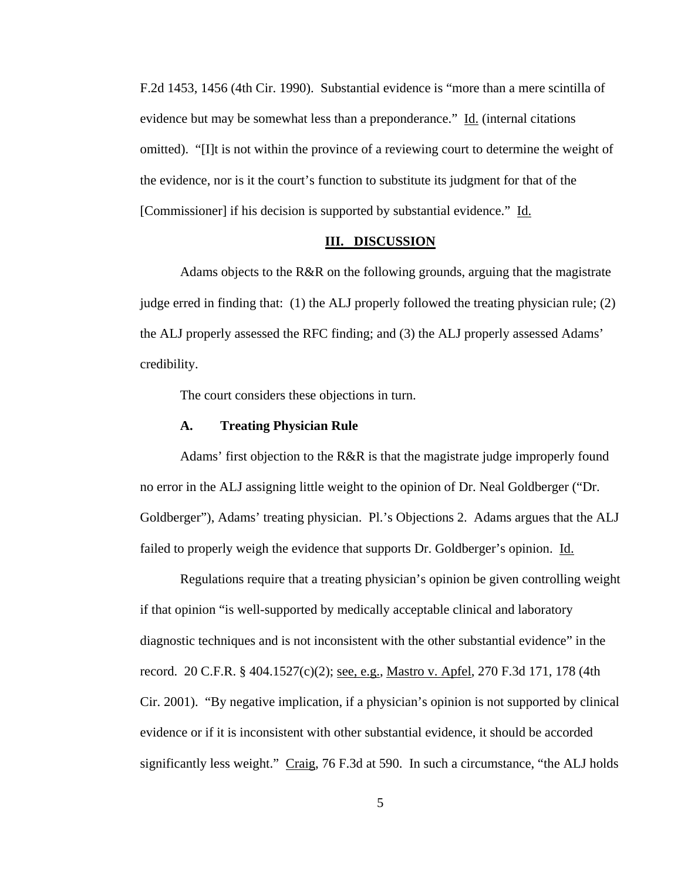F.2d 1453, 1456 (4th Cir. 1990). Substantial evidence is "more than a mere scintilla of evidence but may be somewhat less than a preponderance." Id. (internal citations omitted). "[I]t is not within the province of a reviewing court to determine the weight of the evidence, nor is it the court's function to substitute its judgment for that of the [Commissioner] if his decision is supported by substantial evidence." Id.

## **III. DISCUSSION**

 Adams objects to the R&R on the following grounds, arguing that the magistrate judge erred in finding that: (1) the ALJ properly followed the treating physician rule; (2) the ALJ properly assessed the RFC finding; and (3) the ALJ properly assessed Adams' credibility.

The court considers these objections in turn.

#### **A. Treating Physician Rule**

Adams' first objection to the R&R is that the magistrate judge improperly found no error in the ALJ assigning little weight to the opinion of Dr. Neal Goldberger ("Dr. Goldberger"), Adams' treating physician. Pl.'s Objections 2. Adams argues that the ALJ failed to properly weigh the evidence that supports Dr. Goldberger's opinion. Id.

Regulations require that a treating physician's opinion be given controlling weight if that opinion "is well-supported by medically acceptable clinical and laboratory diagnostic techniques and is not inconsistent with the other substantial evidence" in the record. 20 C.F.R. § 404.1527(c)(2); <u>see, e.g.</u>, Mastro v. Apfel, 270 F.3d 171, 178 (4th Cir. 2001). "By negative implication, if a physician's opinion is not supported by clinical evidence or if it is inconsistent with other substantial evidence, it should be accorded significantly less weight." Craig, 76 F.3d at 590. In such a circumstance, "the ALJ holds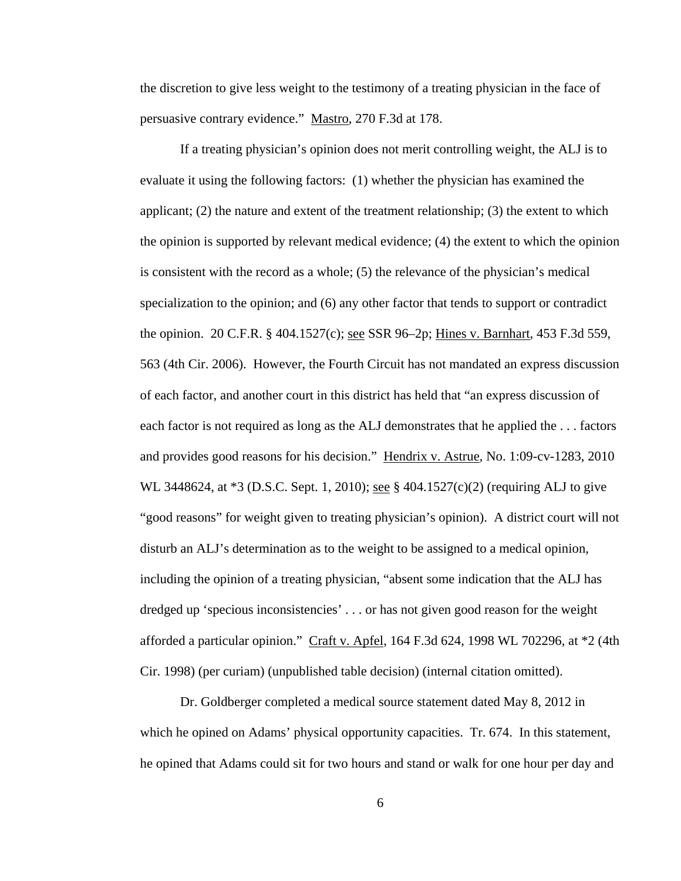the discretion to give less weight to the testimony of a treating physician in the face of persuasive contrary evidence." Mastro, 270 F.3d at 178.

If a treating physician's opinion does not merit controlling weight, the ALJ is to evaluate it using the following factors: (1) whether the physician has examined the applicant; (2) the nature and extent of the treatment relationship; (3) the extent to which the opinion is supported by relevant medical evidence; (4) the extent to which the opinion is consistent with the record as a whole; (5) the relevance of the physician's medical specialization to the opinion; and (6) any other factor that tends to support or contradict the opinion. 20 C.F.R. § 404.1527(c); see SSR 96–2p; Hines v. Barnhart, 453 F.3d 559, 563 (4th Cir. 2006). However, the Fourth Circuit has not mandated an express discussion of each factor, and another court in this district has held that "an express discussion of each factor is not required as long as the ALJ demonstrates that he applied the . . . factors and provides good reasons for his decision." Hendrix v. Astrue, No. 1:09-cv-1283, 2010 WL 3448624, at  $*3$  (D.S.C. Sept. 1, 2010); <u>see</u> § 404.1527(c)(2) (requiring ALJ to give "good reasons" for weight given to treating physician's opinion). A district court will not disturb an ALJ's determination as to the weight to be assigned to a medical opinion, including the opinion of a treating physician, "absent some indication that the ALJ has dredged up 'specious inconsistencies' . . . or has not given good reason for the weight afforded a particular opinion." Craft v. Apfel, 164 F.3d 624, 1998 WL 702296, at  $*2$  (4th Cir. 1998) (per curiam) (unpublished table decision) (internal citation omitted).

Dr. Goldberger completed a medical source statement dated May 8, 2012 in which he opined on Adams' physical opportunity capacities. Tr. 674. In this statement, he opined that Adams could sit for two hours and stand or walk for one hour per day and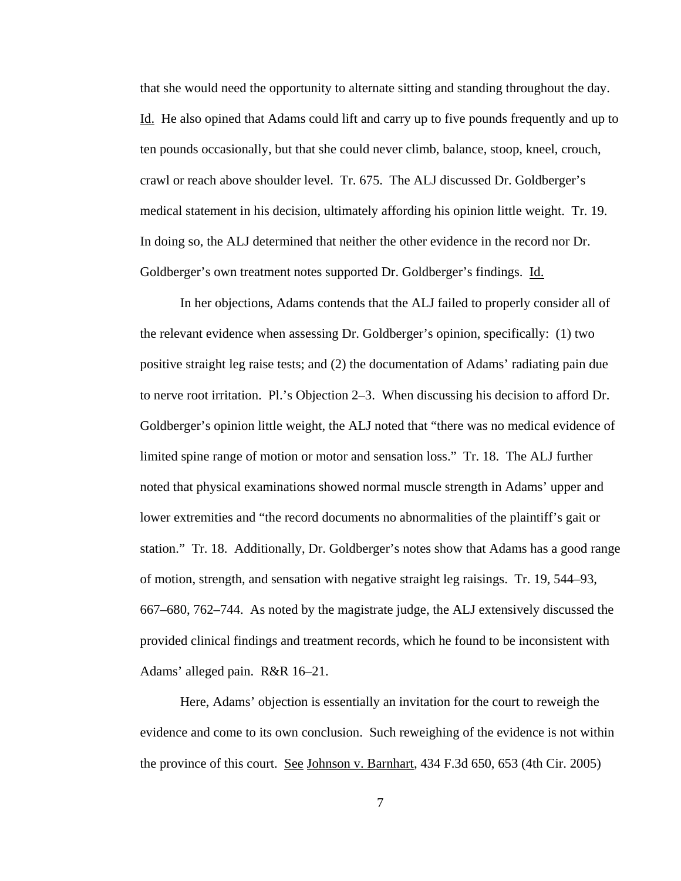that she would need the opportunity to alternate sitting and standing throughout the day. Id. He also opined that Adams could lift and carry up to five pounds frequently and up to ten pounds occasionally, but that she could never climb, balance, stoop, kneel, crouch, crawl or reach above shoulder level. Tr. 675. The ALJ discussed Dr. Goldberger's medical statement in his decision, ultimately affording his opinion little weight. Tr. 19. In doing so, the ALJ determined that neither the other evidence in the record nor Dr. Goldberger's own treatment notes supported Dr. Goldberger's findings. Id.

 In her objections, Adams contends that the ALJ failed to properly consider all of the relevant evidence when assessing Dr. Goldberger's opinion, specifically: (1) two positive straight leg raise tests; and (2) the documentation of Adams' radiating pain due to nerve root irritation. Pl.'s Objection 2–3. When discussing his decision to afford Dr. Goldberger's opinion little weight, the ALJ noted that "there was no medical evidence of limited spine range of motion or motor and sensation loss." Tr. 18. The ALJ further noted that physical examinations showed normal muscle strength in Adams' upper and lower extremities and "the record documents no abnormalities of the plaintiff's gait or station." Tr. 18. Additionally, Dr. Goldberger's notes show that Adams has a good range of motion, strength, and sensation with negative straight leg raisings. Tr. 19, 544–93, 667–680, 762–744. As noted by the magistrate judge, the ALJ extensively discussed the provided clinical findings and treatment records, which he found to be inconsistent with Adams' alleged pain. R&R 16–21.

Here, Adams' objection is essentially an invitation for the court to reweigh the evidence and come to its own conclusion. Such reweighing of the evidence is not within the province of this court. See Johnson v. Barnhart, 434 F.3d 650, 653 (4th Cir. 2005)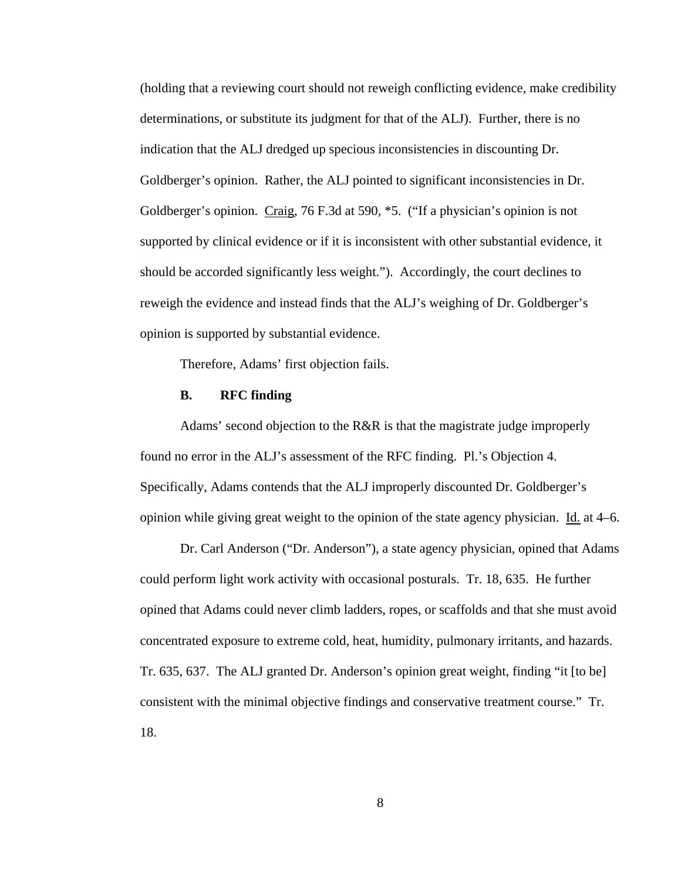(holding that a reviewing court should not reweigh conflicting evidence, make credibility determinations, or substitute its judgment for that of the ALJ). Further, there is no indication that the ALJ dredged up specious inconsistencies in discounting Dr. Goldberger's opinion. Rather, the ALJ pointed to significant inconsistencies in Dr. Goldberger's opinion. Craig, 76 F.3d at 590, \*5. ("If a physician's opinion is not supported by clinical evidence or if it is inconsistent with other substantial evidence, it should be accorded significantly less weight."). Accordingly, the court declines to reweigh the evidence and instead finds that the ALJ's weighing of Dr. Goldberger's opinion is supported by substantial evidence.

Therefore, Adams' first objection fails.

## **B. RFC finding**

 Adams' second objection to the R&R is that the magistrate judge improperly found no error in the ALJ's assessment of the RFC finding. Pl.'s Objection 4. Specifically, Adams contends that the ALJ improperly discounted Dr. Goldberger's opinion while giving great weight to the opinion of the state agency physician.  $\underline{Id}$  at 4–6.

Dr. Carl Anderson ("Dr. Anderson"), a state agency physician, opined that Adams could perform light work activity with occasional posturals. Tr. 18, 635. He further opined that Adams could never climb ladders, ropes, or scaffolds and that she must avoid concentrated exposure to extreme cold, heat, humidity, pulmonary irritants, and hazards. Tr. 635, 637. The ALJ granted Dr. Anderson's opinion great weight, finding "it [to be] consistent with the minimal objective findings and conservative treatment course." Tr. 18.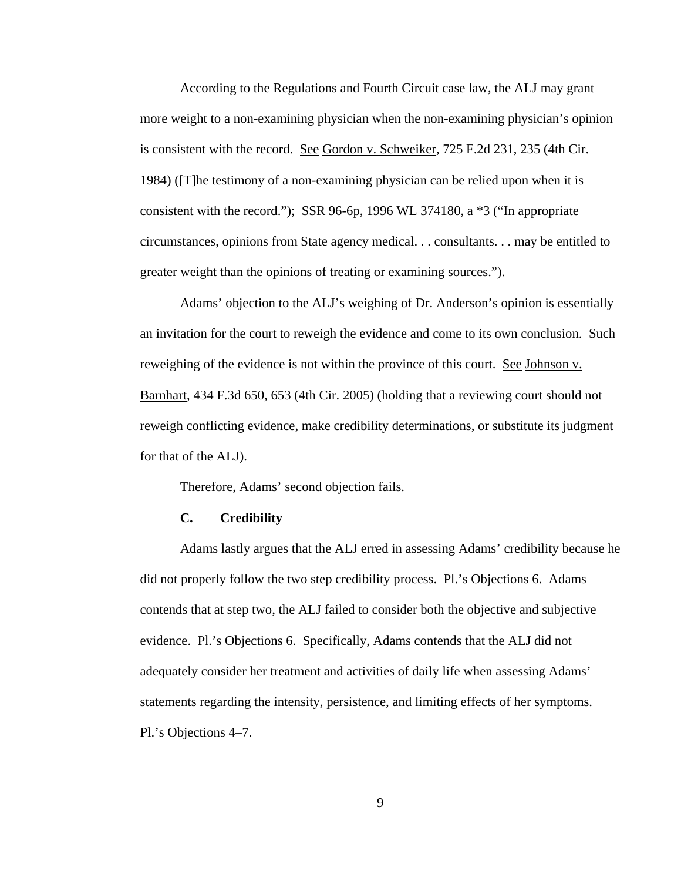According to the Regulations and Fourth Circuit case law, the ALJ may grant more weight to a non-examining physician when the non-examining physician's opinion is consistent with the record. See Gordon v. Schweiker, 725 F.2d 231, 235 (4th Cir. 1984) ([T]he testimony of a non-examining physician can be relied upon when it is consistent with the record."); SSR 96-6p, 1996 WL 374180, a \*3 ("In appropriate circumstances, opinions from State agency medical. . . consultants. . . may be entitled to greater weight than the opinions of treating or examining sources.").

Adams' objection to the ALJ's weighing of Dr. Anderson's opinion is essentially an invitation for the court to reweigh the evidence and come to its own conclusion. Such reweighing of the evidence is not within the province of this court. See Johnson v. Barnhart, 434 F.3d 650, 653 (4th Cir. 2005) (holding that a reviewing court should not reweigh conflicting evidence, make credibility determinations, or substitute its judgment for that of the ALJ).

Therefore, Adams' second objection fails.

#### **C. Credibility**

 Adams lastly argues that the ALJ erred in assessing Adams' credibility because he did not properly follow the two step credibility process. Pl.'s Objections 6. Adams contends that at step two, the ALJ failed to consider both the objective and subjective evidence. Pl.'s Objections 6. Specifically, Adams contends that the ALJ did not adequately consider her treatment and activities of daily life when assessing Adams' statements regarding the intensity, persistence, and limiting effects of her symptoms. Pl.'s Objections 4–7.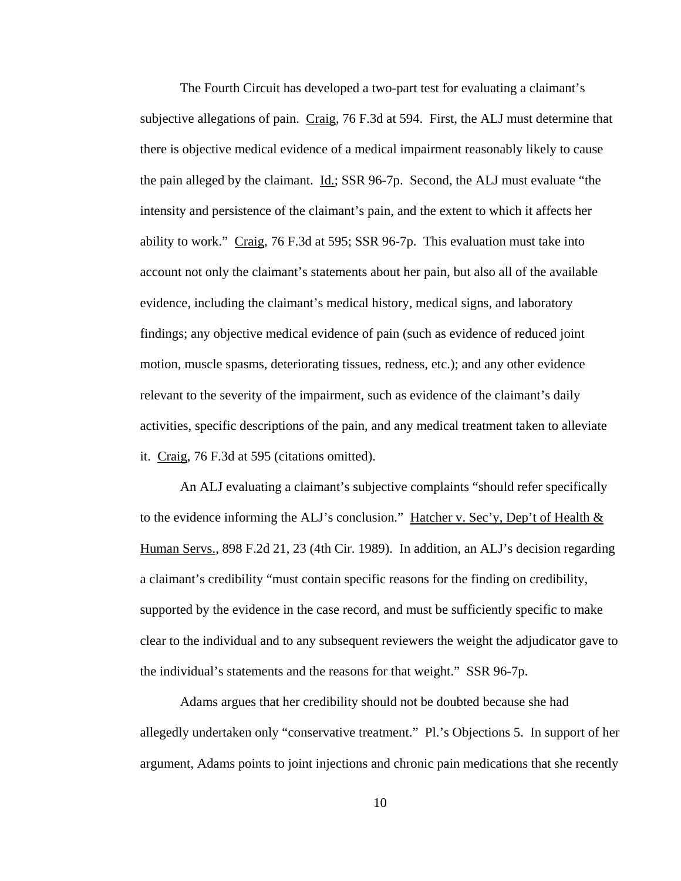The Fourth Circuit has developed a two-part test for evaluating a claimant's subjective allegations of pain. Craig, 76 F.3d at 594. First, the ALJ must determine that there is objective medical evidence of a medical impairment reasonably likely to cause the pain alleged by the claimant. Id.; SSR 96-7p. Second, the ALJ must evaluate "the intensity and persistence of the claimant's pain, and the extent to which it affects her ability to work." Craig, 76 F.3d at 595; SSR 96-7p. This evaluation must take into account not only the claimant's statements about her pain, but also all of the available evidence, including the claimant's medical history, medical signs, and laboratory findings; any objective medical evidence of pain (such as evidence of reduced joint motion, muscle spasms, deteriorating tissues, redness, etc.); and any other evidence relevant to the severity of the impairment, such as evidence of the claimant's daily activities, specific descriptions of the pain, and any medical treatment taken to alleviate it. Craig, 76 F.3d at 595 (citations omitted).

 An ALJ evaluating a claimant's subjective complaints "should refer specifically to the evidence informing the ALJ's conclusion." Hatcher v. Sec'y, Dep't of Health  $&$ Human Servs., 898 F.2d 21, 23 (4th Cir. 1989). In addition, an ALJ's decision regarding a claimant's credibility "must contain specific reasons for the finding on credibility, supported by the evidence in the case record, and must be sufficiently specific to make clear to the individual and to any subsequent reviewers the weight the adjudicator gave to the individual's statements and the reasons for that weight." SSR 96-7p.

 Adams argues that her credibility should not be doubted because she had allegedly undertaken only "conservative treatment." Pl.'s Objections 5. In support of her argument, Adams points to joint injections and chronic pain medications that she recently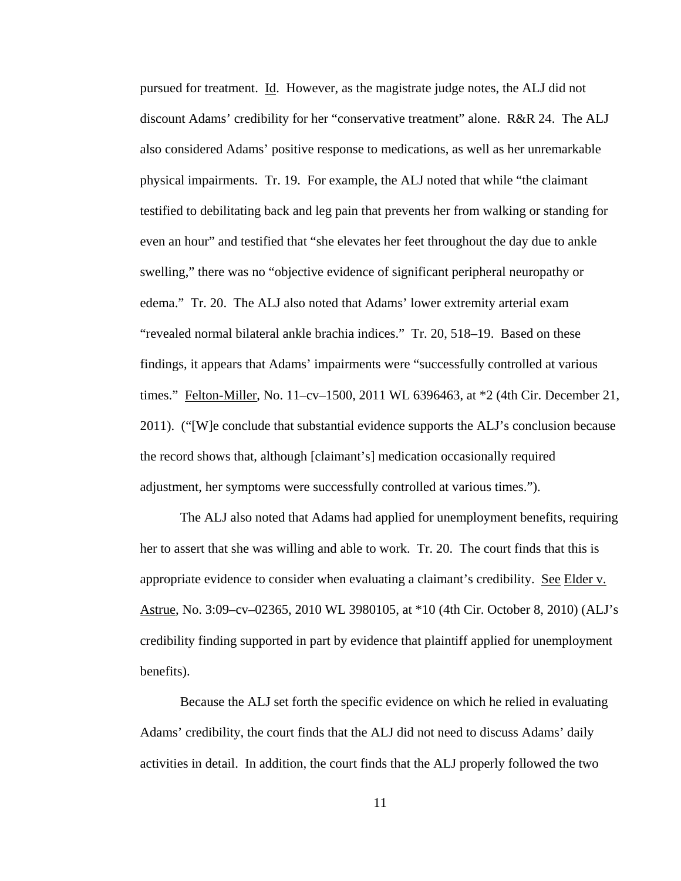pursued for treatment. Id. However, as the magistrate judge notes, the ALJ did not discount Adams' credibility for her "conservative treatment" alone. R&R 24. The ALJ also considered Adams' positive response to medications, as well as her unremarkable physical impairments. Tr. 19. For example, the ALJ noted that while "the claimant testified to debilitating back and leg pain that prevents her from walking or standing for even an hour" and testified that "she elevates her feet throughout the day due to ankle swelling," there was no "objective evidence of significant peripheral neuropathy or edema." Tr. 20. The ALJ also noted that Adams' lower extremity arterial exam "revealed normal bilateral ankle brachia indices." Tr. 20, 518–19. Based on these findings, it appears that Adams' impairments were "successfully controlled at various times." Felton-Miller, No. 11–cv–1500, 2011 WL 6396463, at \*2 (4th Cir. December 21, 2011). ("[W]e conclude that substantial evidence supports the ALJ's conclusion because the record shows that, although [claimant's] medication occasionally required adjustment, her symptoms were successfully controlled at various times.").

 The ALJ also noted that Adams had applied for unemployment benefits, requiring her to assert that she was willing and able to work. Tr. 20. The court finds that this is appropriate evidence to consider when evaluating a claimant's credibility. See Elder v. Astrue, No. 3:09–cv–02365, 2010 WL 3980105, at \*10 (4th Cir. October 8, 2010) (ALJ's credibility finding supported in part by evidence that plaintiff applied for unemployment benefits).

 Because the ALJ set forth the specific evidence on which he relied in evaluating Adams' credibility, the court finds that the ALJ did not need to discuss Adams' daily activities in detail. In addition, the court finds that the ALJ properly followed the two